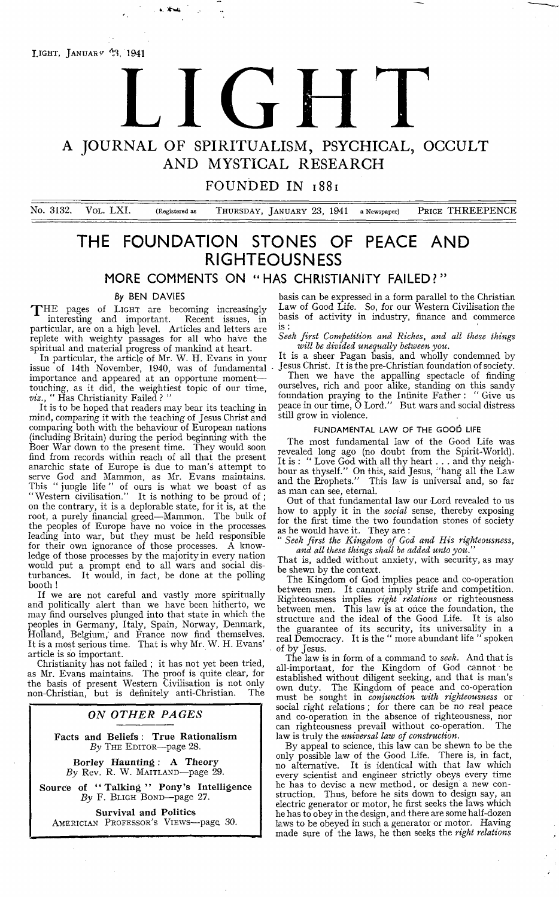LIGHT, JANUARY  $43, 1941$ 

# A JOURNAL OF SPIRITUALISM, PSYCHICAL, OCCULT LIGHT

AND MYSTICAL RESEARCH

## **FOUNDED IN 1881**

No. 3132. VOL. LXI. (Registered as THURSDAY, JANUARY 23, 1941 a Newspaper) PRICE THREEPENCE

# **THE FOUNDATION STONES OF PEACE AND RIGHTEOUSNESS**

**MORE COMMENTS ON " HAS CHRISTIANITY FAILED?"**

#### **By BEN DAVIES**

te, \*\*\*

THE pages of LIGHT are becoming increasingly interesting and important. Recent issues, in particular, are on a high level. Articles and letters are replete with weighty passages for all who have the spiritual and material progress of mankind at heart.

In particular, the article of Mr. W. H. Evans in your issue of 14th November, 1940, was of fundamental importance and appeared at an opportune moment touching, as it did, the weightiest topic of our time, *viz.,* " Has Christianity Failed ? "

It is to be hoped that readers may bear its teaching in mind, comparing it with the teaching of Jesus Christ and comparing both with the behaviour of European nations (including Britain) during the period beginning with the Boer War down to the present time. They would soon find from records within reach of all that the present anarchic state of Europe is due to man's attempt to serve God and Mammon, as Mr. Evans maintains. This " jungle life " of ours is what we boast of as " Western civilisation." It is nothing to be proud of ; on the contrary, it is a deplorable state, for it is, at the root, a purely financial greed— Mammon. The bulk of the peoples of Europe have no voice in the processes leading into war, but they must be held responsible for their own ignorance of those processes. A knowledge of those processes by the majority in every nation would put a prompt end to all wars and social disturbances. It would, in fact, be done at the polling booth !

If we are not careful and vastly more spiritually and politically alert than we have been hitherto, we may find ourselves plunged into that state in which the peoples in Germany, Italy, Spain, Norway, Denmark, Holland, Belgium,' and France now find themselves. It is a most serious time. That is why Mr. W. H. Evans' article is so important.

Christianity has not failed ; it has not yet been tried, as Mr. Evans maintains. The proof is quite clear, for the basis of present Western Civilisation is not only non-Christian, but is definitely anti-Christian. The

#### *ON OTHER PAGES*

**Facts and Beliefs : True Rationalism** By THE EDITOR-page 28.

**Borley Haunting : A Theory** By Rev. R. W. MAITLAND-page 29.

**Source of " Talking" Pony's Intelligence** By F. BLIGH BOND-page 27.

**Survival and Politics** Americian Professor's Views—page 30.

basis can be expressed in a form parallel to the Christian Law of Good Life. So, for our Western Civilisation the basis of activity in industry, finance and commerce is :

*Seek first Competition and. Riches, and all these things will he divided unequally between you.*

It is a sheer Pagan basis, and wholly condemned by Jesus Christ. It is the pre-Christian foundation of society.

Then we have the appalling spectacle of finding ourselves, rich and poor alike, standing on this sandy foundation praying to the Infinite Father: " Give us peace in our time, O Lord." But wars and social distress still grow in violence.

### FUNDAMENTAL LAW OF THE GOOD LIFE

The most fundamental law of the Good Life was revealed long ago (no doubt from the Spirit-World). It is : " Love God with all thy heart . . . and thy neighbour as thyself." On this, said Jesus, " hang all the Law and the Erophets." This law is universal and, so far as man can see, eternal.

Out of that fundamental law our Lord revealed to us how to apply it in the *social* sense, thereby exposing for the first time the two foundation stones of society as he would have it. They are :

" *Seek first the Kingdom of God and His righteousness,* and all these things shall be added unto you.

That is, added without anxiety, with security, as may be shewn by the context.

The Kingdom of God implies peace and co-operation between men. It cannot imply strife and competition. Righteousness implies *right relations* or righteousness between men. This law is at once the foundation, the structure and the ideal of the Good Life. It is also the guarantee of its security, its universality in a real Democracy. It is the " more abundant life " spoken of by Jesus.

The law is in form of a command to *seek.* And that is all-important, for the Kingdom of God cannot be established without diligent seeking, and that is man's own duty. The Kingdom of peace and co-operation must be sought in *conjunction with righteousness* or social right relations ; for there can be no real peace and co-operation in the absence of righteousness, nor can righteousness prevail without co-operation. The law is truly the *universal law of construction.*

By appeal to science, this law can be shewn to be the only possible law of the Good Life. There is, in fact, no alternative. It is identical with that law which every scientist and engineer strictly obeys every time he has to devise a new method, or design a new construction. Thus, before he sits down to design say, an electric generator or motor, he first seeks the laws which he has to obey in the design, and there are some half-dozen laws to be obeyed in such a generator or motor. Having made sure of the laws, he then seeks the *right relations*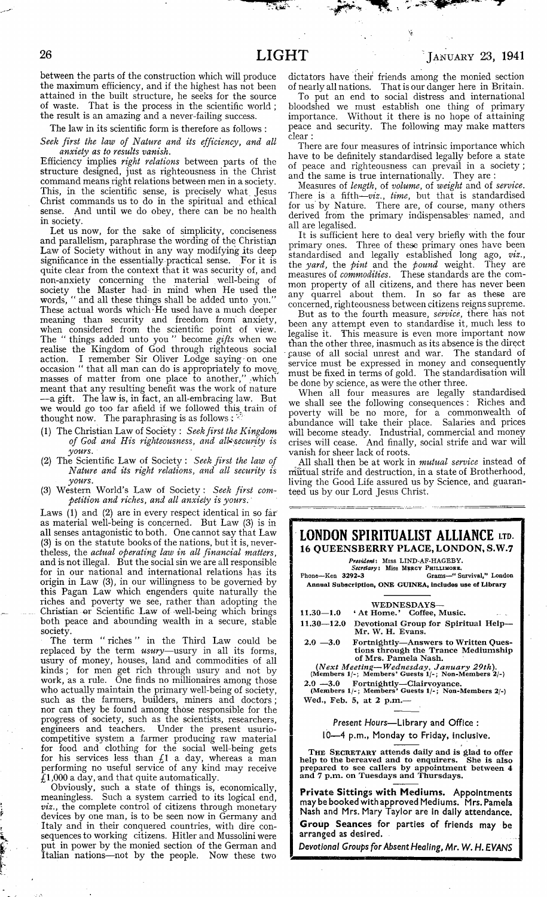−. kee

between the parts of the construction which will produce the maximum efficiency, and if the highest has not been attained in the built structure, he seeks for the source of waste. That is the process in the scientific world ; the result is an amazing and a never-failing success.

The law in its scientific form is therefore as follows :

*Seek first the law of Nature and its efficiency, and all anxiety as to results vanish.*

Efficiency implies *right relations* between parts of the structure designed, just as righteousness in the Christ command means right relations between men in a society. This, in. the scientific sense, is precisely what. Jesus Christ commands us to do in the spiritual and ethical sense. And until we do obey, there can be no health in society.

Let us now, for the sake of simplicity, conciseness and parallelism, paraphrase the wording of the Christian Law of Society without in any way modifying its deep significance in the essentially practical sense. For it is quite clear from the context that it was security of, and non-anxiety concerning the material well-being of society the Master had- in mind when He used the words, " and all these things shall be added unto you." These actual words which • He used have a much deeper meaning than security and freedom from' anxiety, when considered from the scientific point of view. The " things added unto you " become *gifts* when we realise the Kingdom of God through righteous social action. I remember Sir Oliver Lodge saying on one occasion " that all man can do is appropriately to move, masses of matter from one place to another," which meant that any resulting benefit was the work of nature — a gift. The law is, in fact, an all-embracing law. But we would go too far afield if we followed this, train of thought now. The paraphrasing is as follows :

- (1) The Christian Law of Society : *Seek first the Kingdom of God and His righteousness, and alK-secunty is yours.*
- (2) The Scientific Law of Society : *Seek first the law of Nature and its right relations, and all security is yours.*
- (3) Western World's Law of Society : *Seek first competition and riches, and all anxiety is yours*, '

Laws (1) and (2) are in every respect identical in so far as material well-being is concerned. But Law (3) is in all senses antagonistic to both. One cannot say that Law (3) is on the statute books of the nations, but it is, nevertheless, the *actual operating law in all financial matters,* and is not illegal. But the social sin we are all responsible for in our national and international relations has its origin in Law (3), in our willingness to be governed by this Pagan Law which engenders quite naturally the riches and poverty we see, rather than adopting the Christian or Scientific Law of-well-being which brings both peace and abounding wealth in a secure, stable society.

The term " riches " in the Third Law could be replaced by the term *usury*—usury in all its forms, usury of money, houses, land and commodities of all kinds; for men get rich through usury and not by work, as a rule. One finds no millionaires among those who actually maintain the primary well-being of society, such as the farmers, builders, miners and doctors; nor can they be found among those responsible for the progress of society, such as the scientists, researchers, engineers and teachers. Under the present usuriocompetitive system a farmer producing raw material for food and clothing for the social well-being gets for his services less than *£1* a day, whereas a man performing no useful service of any kind may receive  $\tilde{\mathcal{L}}$ 1,000 a day, and that quite automatically.

Obviously, such a state of things is, economically, meaningless. Such a system carried to its logical end, *viz.,* the complete control of citizens through monetary devices by one man, is to be seen now in Germany and Italy and in their conquered countries, with dire consequences to working citizens. Hitler and Mussolini were put in power by the monied section of the German and Italian nations—not by the people. Now these two

dictators have their friends among the monied section of nearly all nations. That is our danger here in Britain.

To put an end to social distress and international bloodshed we must establish one thing of primary importance. Without it there is no hope of attaining peace and security. The following may make matters clear :

There are four measures of intrinsic importance which have to be definitely standardised legally before a state of peace and righteousness can prevail in a society ; and the same is true internationally. They are :

Measures of *length,* of *volume,* of *weight* and of *service.* There is a fifth—*viz., time,* but that is standardised for us by Nature. There are, of course, many others derived from the primary indispensables named, and all are legalised.

It is sufficient here to deal very briefly with the four primary ones. Three of these primary ones have been standardised and legally established long ago, *viz.,* the *yard,* the *pint* and the *pound* weight. They are measures of *commodities.* These standards are the common property of all citizens, and there has never been any quarrel about them. In so far as these are concerned, righteousness between citizens reigns supreme.

But as to the fourth measure, *service,* there has not been any attempt even to standardise it, much less to legalise it. This measure is even more important now than the other three, inasmuch as its absence is the direct cause of all social unrest and war. The standard of service must be expressed in money and consequently must be fixed in terms of gold. The standardisation will be done by science, as were the other three.

When all four measures are legally standardised we shall see the following consequences : Riches and poverty will be no more, for a commonwealth of abundance will take their place. Salaries and prices will become steady. Industrial, commercial and money crises will cease. And finally, social strife and war will vanish for sheer lack of roots.

All shall then be at work in *mutual service* instead of nifitual strife and destruction, in a state of Brotherhood, living the Good Life assured us by Science, and guaranteed us by our Lord Jesus Christ.



**Group Seances for parties of friends may be arranged as desired.**

*Devotional Groups for Absent Healing, Mr. W. H. EVANS*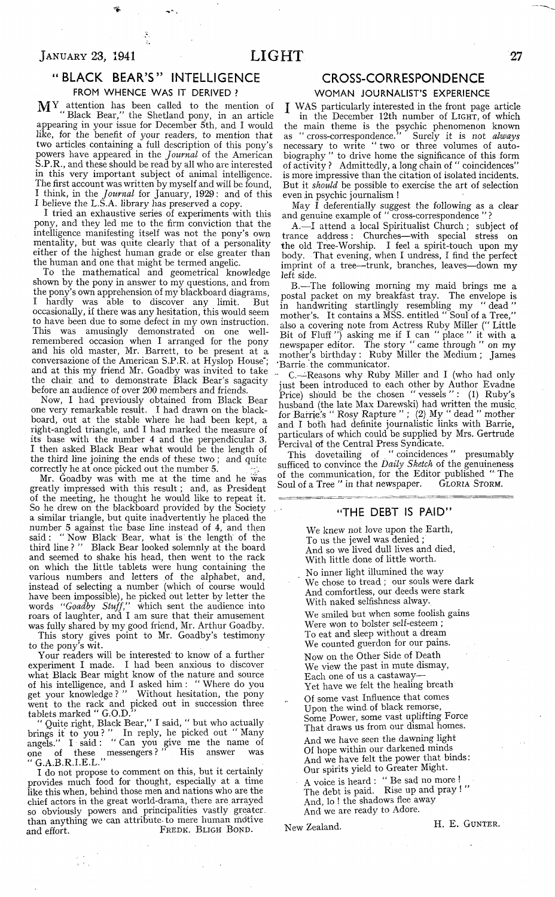## $J_{\rm ANUARY}$  23, 1941  $LIGHT$  27

## **" BLACK BEAR'S " INTELLIGENCE**

FROM WHENCE WAS IT DERIVED ?

MY attention has been called to the mention of "Black Bear," the Shetland pony, in an article appearing in your issue for December 5th, and I would like, for the benefit of your readers, to mention that two articles containing a full description of this pony's powers have appeared in the *Journal* of the American S.P.R., and these should be read by all who are interested in this very important subject of animal intelligence. The first account was written by myself and will be found, I think, in the *Journal* for January, 1929: and of this I believe the L.S.A. library has preserved a copy.

I tried an exhaustive series of experiments with this pony, and they led me to the firm conviction that the intelligence manifesting itself was not the pony's own mentality, but was quite clearly that of a personality either of the highest human grade or else greater than the human and one that might be termed angelic.

To the mathematical and geometrical knowledge shown by the pony in answer to my questions, and from the pony's own apprehension of my blackboard diagrams, I hardly was able to discover any limit. But occasionally, if there was any hesitation, this would seem to have been due to some defect in my own instruction. This was amusingly demonstrated on one wellremembered occasion when I arranged for the pony and his old master, Mr. Barrett, to be present at a conversazione of the American S.P.R. at Hyslop House<sup>\*</sup>; and at this my friend Mr. Goadby was invited to take the chair and to demonstrate Black Bear's sagacity before an audience of over 200 members and friends.

Now, I had previously obtained from Black Bear one very remarkable result. I had drawn on the blackboard, out at the stable where he had been kept, a right-angled triangle, and I had marked the measure of its base with the number 4 and the perpendicular 3. I then asked Black Bear what would be the length of the third line joining the ends of these two ; and quite correctly he at once picked out the number 5.

Mr. Goadby was with me at the time and he was greatly impressed with this result; and, as President of the meeting, he thought he would like to repeat it. So he drew on the blackboard provided by the Society . a similar triangle, but quite inadvertently he placed the number 5 against the base line instead of 4, and then said: " Now Black Bear, what is' the length of the third line ? " Black Bear looked solemnly at the board and seemed to shake his head, then went to the rack on which the little tablets were hung containing the various numbers and letters of the alphabet, and, instead of selecting a number (which of course would have been impossible), he picked out letter by letter the words *" Goadby Stuff,"* which sent the audience into roars of laughter, and I am sure that their amusement was fully shared by my good friend, Mr. Arthur Goadby.

This story gives point to Mr. Goadby's testimony to the pony's wit.

Your readers will be interested' to know of a further experiment I made. I had been anxious to discover what Black Bear might know of the nature and source of his intelligence, and I asked him : " Where do you get your knowledge ? " Without hesitation, the pony went to the rack and picked out in succession three tablets marked " G.O.D."

" Quite right, Black Bear," I said, " but who actually brings it to you ? " In reply, he picked out " Many angels." I said: " Can you give me the name of one of these messengers?" His answer was " G.A.B.R.I.E.L."

I do not propose to comment on this, but it certainly provides much food for thought, especially at a time like this when, behind those men and nations who are the chief actors in the great world-drama, there are arrayed so obviously powers and principalities vastly greater. than anything we can attribute-to mere human mdtive and effort. FREDK. BLIGH BOND.

aith.<br>Aithe

## **CROSS-CORRESPONDENCE**

#### **WOMAN JOURNALIST'S EXPERIENCE**

J WAS particularly interested in the front page article in the December 12th number of LIGHT, of which the main theme is the psychic phenomenon known as " cross-correspondence." Surely it is *not always* necessary to write " two or three volumes of autobiography " to drive home the significance of this form of activity ? Admittedly, a long chain of " coincidences" is more impressive than the citation of isolated incidents. But it *should* be possible to exercise the art of selection even in psychic journalism !

May I deferentially suggest the following as a clear and genuine example of " cross-correspondence " ?

A. — I attend a local Spiritualist Church; subject of trance address: Churches— with special stress on the old Tree-Worship. I feel a spirit-touch upon my body. That evening, when I undress, I find the perfect imprint of a tree—trunk, branches, leaves—down my left side.

B. — The following morning my maid brings me a postal packet on my breakfast tray. The envelope is in handwriting startlingly resembling my " dead " mother's. It contains a MSS. entitled " Soul of a Tree," also a covering note from Actress Ruby Miller (" Little Bit of Fluff  $'$ ) asking me if I can " place " it with a newspaper editor. The story " came through " on my mother's birthday : Ruby Miller the Medium ; James 'Barrie the communicator.

C.— Reasons why Ruby Miller and I (who had only just been introduced to each other by Author Evadne Price) should be the chosen " vessels ": (1) Ruby's husband (the late Max Darewski) had written the music for Barrie's " Rosy Rapture " ; (2) My " dead " mother and I both had definite journalistic links with Barrie, particulars of which could be supplied by Mrs. Gertrude Percival of the Central Press Syndicate.

This dovetailing of " coincidences " presumably sufficed to convince the *Daily Sketch* of the genuineness of the communication, for the Editor published " The Soul of a Tree " in that newspaper. GLORIA STORM.

#### **"THE DEBT IS PAID"**

We knew not love upon the Earth, To us the jewel was denied ; And so we lived dull lives and died, With little done of little worth.

No inner light illumined the way We chose to tread ; our souls were dark And comfortless, our deeds were stark With naked selfishness alway.

We smiled but when some foolish gains Were won to bolster self-esteem ; To eat and sleep without a dream We counted guerdon for our pains. Now on the Other Side of Death We view the past in mute dismay, Each one of us a castaway— Yet have we felt the healing breath

Of some vast Influence that comes Upon the wind, of black remorse, Some Power, some vast uplifting Force That draws us from our dismal homes. And we have seen the dawning light Of hope within our darkened minds And we have felt the power that binds: Our spirits yield to Greater Might.

A voice is heard : " Be sad no more ! The debt is paid. Rise up and pray! And, lo ! the shadows flee away And we are ready to Adore.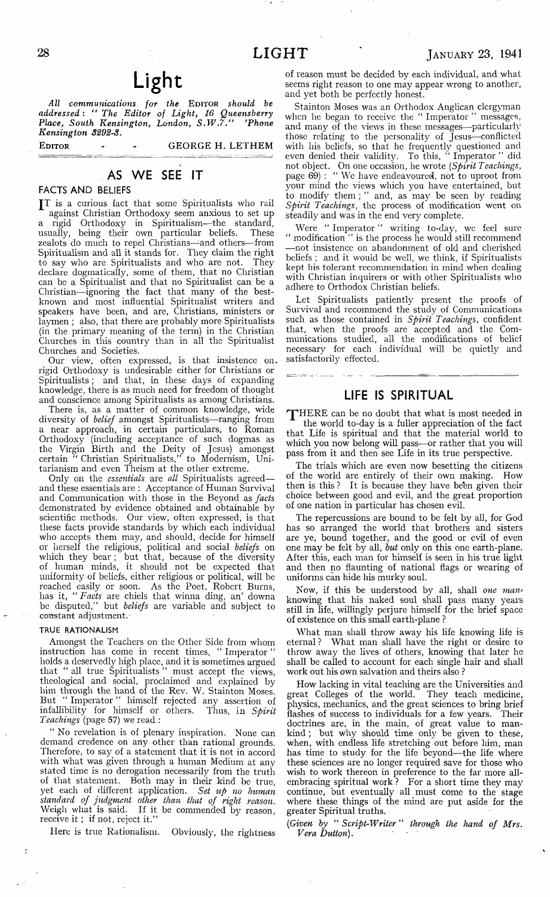*All communications for the* Editor *should be addressed : " The Editor of Light, 16 Queensberry Place, South Kensington, London, S.W .7." 'Phone Kensington 8292-8.*

EDITOR - - GEORGE H. LETHEM

## **AS WE SEE IT**

**FACTS AND BELIEFS**

JT is a curious fact that some Spiritualists who rail against Christian Orthodoxy seem anxious to set up a rigid Orthodoxy in Spiritualism—the standard, usually, being their own particular beliefs. These zealots do much to repel Christians— and others— from Spiritualism and all it stands for. They claim the right to say who are Spiritualists and who are not. They declare dogmatically, some of them, that no Christian can be a Spiritualist and that no Spiritualist can be a Christian— ignoring the fact that many of the bestknown and most influential Spiritualist writers and speakers have been, and are, Christians, ministers or laymen ; also, that there are probably more Spiritualists (in the primary meaning of the term) in the Christian Churches in this country than in all the Spiritualist Churches and Societies.

Our view, often expressed, is that insistence on. rigid Orthodoxy is undesirable either for Christians or Spiritualists; and that, in these days of expanding knowledge, there is as much need for freedom of thought and conscience among Spiritualists as among Christians.

There is, as a matter of common knowledge, wide diversity of *belief* amongst Spiritualists—ranging from a near approach, in certain particulars, to Roman Orthodoxy (including acceptance of such dogmas as the Virgin Birth and the Deity of Jesus) amongst certain " Christian Spiritualists," to Modernism, Unitarianism and even Theism at the other extreme.

Only on the *essentials* are *all* Spiritualists agreed and these essentials are : Acceptance of Human Survival and Communication with those in the Beyond as *facts* demonstrated by evidence obtained and obtainable by scientific methods. Our view, often expressed, is that these facts provide standards by which each individual who accepts them may, and should, decide for himself or herself the religious, political and social *beliefs* on which they bear ; but that, because of the diversity of human minds, it should not be expected that uniformity of beliefs, either religious or political, will be reached easily or soon. As the Poet, Robert Burns, has it, " *Facts* are chiels that winna ding, an' downa be disputed," but *beliefs* arc variable and subject to constant adjustment.-

#### TRUE RATIONALISM

÷

Amongst the Teachers on the Other Side from whom instruction has come in recent times, " Imperator " holds a deservedly high place, and it is sometimes argued that " all true Spiritualists " must accept the views, theological and social, proclaimed and explained by him through the hand of the Rev. W. Stainton Moses. But " Imperator " himself rejected any assertion of infallibility for himself or others. Thus, in *Spirit Tcachings* (page 57) we read :

" No revelation is of plenary inspiration. None can demand credence on any other than rational grounds. Therefore, to say of a statement that it is not in accord with what was given through a human Medium at any stated time is no derogation necessarily from the truth of that statement. Both may in their kind be true, yet each of different application. *Set up no human standard of judgment other than that of right reason.* Weigh what is said. If it be commended by reason, receive it ; if not, reject it."

Here is true Rationalism. Obviously, the rightness

of reason must be decided by each individual, and what seems right reason to one may appear wrong to another, and yet both be perfectly honest.

Stainton Moses was an Orthodox Anglican clergyman when he began to receive the "Imperator" messages, and many of the views in these messages— particularly those relating to the personality of Jesus— conflicted with his beliefs, so that he frequently questioned and even denied their validity. To this, " Imperator " did not object. On one occasion, he wrote *(Spirit Teachings,* page 69) : " We have endeavoured, not to uproot from your mind the views which you have entertained, but to modify? them ; " and, as may be seen by reading *Spirit Teachings,* the process of modification went on steadily and was in the end very complete.

Were " Imperator " writing to-day, wc feel sure " modification " is the process he would still recommend — not insistence on abandonment of old and cherished beliefs ; and it would be well, we think, if Spiritualists kept his tolerant recommendation in mind when dealing with Christian inquirers or with other Spiritualists who adhere to Orthodox Christian beliefs.

Let Spiritualists patiently present the proofs of Survival and recommend the study of Communications such as those contained in *Spirit Teachings,* confident that, when the proofs are accepted and the Communications studied, all the modifications of belief necessary for each individual will be quietly and satisfactorily effected.

#### **LIFE IS SPIRITUAL**

an<br>Alberta de Constantino

THERE can be no doubt that what is most needed in the world to-day is a fuller appreciation of the fact that Life is spiritual and that the material world to which you now belong will pass— or rather that you will pass from it and then see Life in its true perspective.

The trials which are even now besetting the citizens of the world are entirely of their own making. How then is this ? It is because they have been given their choice between good and evil, and the great proportion of one nation in particular has chosen evil.

The repercussions are bound to be felt by all, for God has so arranged the world that brothers and sisters are ye, bound together, and the good or evil of even one may be felt by all, *but* only on this one earth-plane. After this, each man for himself is seen in his true light and then no flaunting of national flags or wearing of uniforms can hide his murky soul.

Now, if this be understood by all, shall *one mail'* knowing that his naked soul shall pass many years still in life, willingly perjure himself for the brief space of existence on this small earth-plane ?

What man shall throw away his life knowing life is eternal ? What man shall have the right or desire to throw away the lives of others, knowing that later he shall be called to account for each single hair and shall work out his own salvation and theirs also ?

How lacking in vital teaching are the Universities and great Colleges of the world. They teach medicine, physics, mechanics, and the great sciences to bring brief flashes of success to individuals for a few years. Their doctrines are, in the main, of great value to mankind; but why should time only be given to these, when, with endless life stretching out before him, man has time to study for the life beyond— the life where these sciences are no longer required save for those who wish to work thereon in preference to the far more allembracing spiritual work ? For a short time they may continue, but eventually all must come to the stage where these things of the mind are put aside for the greater Spiritual truths.

*(Given by* " *Script-Writer* " *through the hand of Mrs. Vera Dutton).*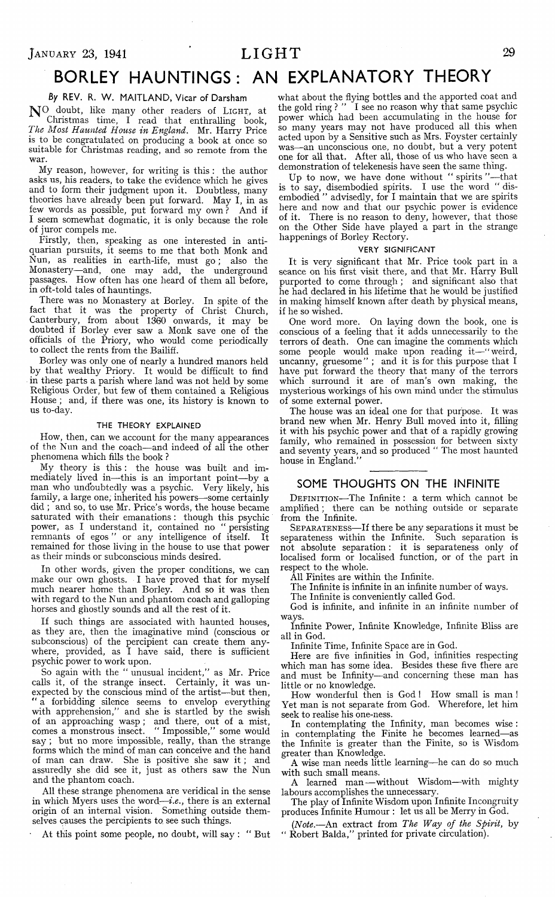# **BORLEY HAUNTINGS: AN EXPLANATORY THEORY**

#### *By* **REV. R. W . MAITLAND, Vicar of Darsham**

**N°.** doubt, like many other readers of Light, at Christmas time, I read that enthralling book, *The Most Haunted, House in England.* Mr. Harry Price is to be congratulated on producing a book at once so suitable for Christmas reading, and so remote from the war.

My reason, however, for writing is this : the author asks us, his readers, to take the evidence which he gives and to form their judgment upon it. Doubtless, many theories have already been put forward. May I, in as few words as possible, put forward my own ? And if I seem somewhat dogmatic, it is only because the role of juror compels me.

Firstly, then, speaking as one interested in antiquarian pursuits, it seems to me that both Monk and Nun, as realities in earth-life, must go; also the Monastery— and, one may add, the underground passages. How often has one heard of them all before, in oft-told tales of hauntings.

There was no Monastery at Borley. In spite of the fact that it was the property of Christ Church, Canterbury, from about 1360 onwards, it may be doubted if Borley ever saw a Monk save one of the officials of the Priory, who would come periodically to collect the rents from the Bailiff.

Borley was only one of nearly a hundred manors held by that wealthy Priory. It would be difficult to find in these parts a parish where land was not held by some Religious Order, but few of them contained a Religious House ; and, if there was one, its history is known to us to-day.

#### THE THEORY EXPLAINED

How, then, can we account for the many appearances of the Nun and the coach— and indeed of all the other phenomena which fills the book ?

My theory is this : the house was built and immediately lived in— this is an important point— by a man who undoubtedly was a psychic. Very likely, his family, a large one; inherited his powers— some certainly did ; and so, to use Mr. Price's words, the house became saturated with their emanations : though this psychic power, as I understand it, contained no " persisting remnants of egos " or any intelligence of itself. It remained for those living in the house to use that power as their minds or subconscious minds desired.

In other words, given the proper conditions, we can make our own ghosts. I have proved that for myself much nearer home than Borley. And so it was then with regard to the Nun and phantom coach and galloping horses and ghostly sounds and all the rest of it.

If such things are associated with haunted houses, as they are, then the imaginative mind (conscious or subconscious) of the percipient can create them anywhere, provided, as I have said, there is sufficient psychic power to work upon.

So again with the " unusual incident," as Mr. Price calls it, of the strange insect. Certainly, it was unexpected by the conscious mind of the artist— but then, " a forbidding silence seems to envelop everything with apprehension," and she is startled by the swish of an approaching wasp ; and there, out of a mist, comes a monstrous insect. " Impossible," some would say ; but no more impossible, really, than the strange forms which the mind of man can conceive and the hand of man can draw. She is positive she saw it; and assuredly she did see it, just as others saw the Nun and the phantom coach.

All these strange phenomena are veridical in the sense in which Myers uses the word—*i.e.*, there is an external origin of an internal vision. Something outside themselves causes the percipients to see such things.

At this point some people, no doubt, will say : " But

what about the flying bottles and the apported coat and the gold ring ? " I see no reason why that same psychic power which had been accumulating in the house for so many years may not have produced all this when acted upon by a Sensitive such as Mrs. Foyster certainly was— an unconscious one, no doubt, but a very potent one for all that. After all, those of us who have seen a demonstration of telekenesis have seen the same thing.

Up to now, we have done without "spirits"—that is to say, disembodied spirits. I use the word " disembodied " advisedly, for I maintain that we are spirits here and now and that our psychic power is evidence of it. There is no reason to deny, however, that those on the Other Side have played a part in the strange happenings of Borley Rectory.

#### VERY SIGNIFICANT

It is very significant that Mr. Price took part in a seance on his first visit there, and that Mr. Harry Bull purported to come through; and significant also that he had declared in his lifetime that he would be justified in making himself known after death by physical means, if he so wished.

One word more. On laying down the book, one is conscious of a feeling that it adds unnecessarily to the terrors of death. One can imagine the comments which some people would make upon reading it—"weird, uncanny, gruesome" ; and it is for this purpose that I have put forward the theory that many of the terrors which surround it are of man's own making, the mysterious workings of his own mind under the stimulus of some external power.

The house was an ideal one for that purpose. It was brand new when Mr. Henry Bull moved into it, filling it with his psychic power and that of a rapidly growing family, who remained in possession for between sixty and seventy years, and so produced " The most haunted house in England.'

#### **SOME THOUGHTS ON THE INFINITE**

DEFINITION—The Infinite: a term which cannot be amplified ; there can be nothing outside or separate from the Infinite.

Separateness— If there be any separations it must be separateness within the Infinite. Such separation is not absolute separation : it is separateness only of localised form or localised function, or of the part in respect to the whole.

All Finites are within the Infinite.

The Infinite is infinite in an infinite number of ways.

The Infinite is conveniently called God.

God is infinite, and infinite in an infinite number of ways.

Infinite Power, Infinite Knowledge, Infinite Bliss are all in God.

Infinite Time, Infinite Space are in God.

Here are five infinities in God, infinities respecting which man has some idea. Besides these five there are and must be Infinity—and concerning these man has little or no knowledge.

How wonderful then is God ! How small is man ! Yet man is not separate from God. Wherefore, let him seek to realise his one-ness.

In contemplating the Infinity, man becomes wise : in contemplating the Finite he becomes learned— as the Infinite is greater than the Finite, so is Wisdom greater than Knowledge.

A wise man needs little learning— he can do so much with such small means.

A learned man— without Wisdom—with mighty labours accomplishes the unnecessary.

The play of Infinite Wisdom upon Infinite Incongruity produces Infinite Humour : let us all be Merry in God.

*(Note*.—An extract from *The Way of the Spirit,* by " Robert Baida," printed for private circulation).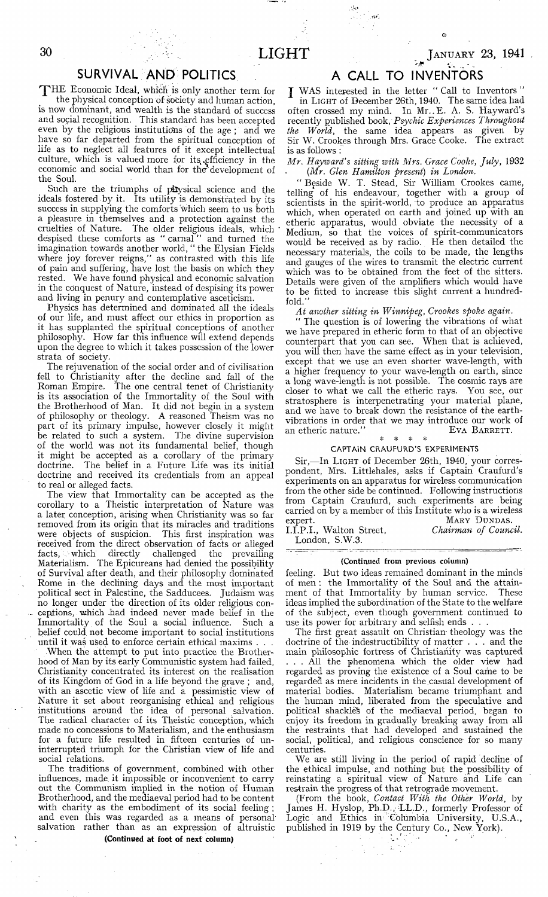## **SURVIVAL AND POLITICS**

THE Economic Ideal, which is only another term for the physical conception of society and human action, is now dominant, and wealth is the standard of success and social recognition. This standard has been accepted even by the religious institutions of the age ; and we have so far departed from the spiritual conception of life as to neglect all features of it except intellectual culture, which is valued more for its efficiency in the economic and social world than for the' development of the Soul.

Such are the triumphs of p&ysical science and the ideals fostered by it. Its utility is demonstrated by its success in supplying the comforts which seem to us both a pleasure in themselves and a protection against the cruelties of Nature. The older religious ideals, which despised these comforts as " carnal " and turned the imagination towards another world, "the Elysian Fields where joy forever reigns," as contrasted with this life of pain and suffering, have lost the basis on which they rested. We have found physical and economic salvation in the conquest of Nature, instead of despising its power and living in penury and contemplative asceticism.

Physics has determined and dominated all the ideals of our life, and must affect our ethics in proportion as it has supplanted the spiritual conceptions of another philosophy. How far this influence will extend depends upon the degree to which it takes possession of the lower strata of society.

The rejuvenation of the social order and of civilisation fell to Christianity after the decline and fall of the Roman Empire. The one central tenet of Christianity is its association of the Immortality of the Soul with the Brotherhood of Man. It did not begin in a system of philosophy or theology. A reasoned Theism was no part of its primary impulse, however closely it might be related to such a system. The divine supervision of the world was not its fundamental belief, though it might be accepted as a corollary of the primarydoctrine. The belief in a Future Life was its initial doctrine and received its credentials from an appeal to real or alleged facts.

The view that Immortality can be accepted as the corollary to a Theistic interpretation of Nature was a later conception, arising when Christianity was so far removed from its origin that its miracles and traditions were objects of suspicion. This first inspiration was received from the direct observation of facts or alleged<br>facts, which directly challenged the prevailing facts, . which directly challenged the prevailing Materialism. The Epicureans had denied the possibility of Survival after death, and their philosophy dominated Rome in the declining days and the most important political sect in Palestine, the Sadducees. Judaism was no longer under the direction of its older religious conceptions, which -had indeed never made belief in the Immortality of the Soul a social influence. Such a belief could not become important to social institutions until it was used to enforce certain ethical maxims . . .

When the attempt to put into practice the Brotherhood of Man by its early Communistic system had failed, Christianity concentrated its interest on the realisation of its Kingdom of God in a life beyond the grave ; and, with an ascetic view of life and a pessimistic view of Nature it set about reorganising ethical and religious institutions around the idea of personal salvation. The radical character of its Theistic conception, which made no concessions to Materialism, and the enthusiasm for a future life resulted in fifteen centuries of uninterrupted triumph for the Christian view of life and social relations.

The traditions of government, combined with other influences, made, it impossible or inconvenient to carry out the Communism implied in the notion of Human Brotherhood, and the mediaeval period had to be content with charity as the embodiment of its social feeling; and even this was regarded as a means of personal salvation rather than as an expression of altruistic

#### (Continued at foot of next column)

## **A CALL TO INVENTORS**

J WAS interested in the letter " Call to Inventors " in Light of December 26th, 1940. The same idea had often crossed my mind. In Mr. E. A. S. Hayward's recently published book, *Psychic Experiences Throughout the World,* the same idea appears as given by Sir W. Crookes through Mrs. Grace Cooke. The extract is as follows :

*Mr. Hayward's sitting with Mrs. Grace Cooke, July,* 1932 *(Mr. Glen Hamilton present) in London.*

*"* Beside W. T. Stead, Sir William Crookes came, telling of his endeavour, together with a group of scientists in the spirit-world, to produce an apparatus which, when operated on earth and joined up with an etheric apparatus, would obviate the necessity of a Medium, so that the voices of spirit-communicators would be received as by radio. He then detailed the necessary materials, the coils to be made, the lengths and gauges of the wires to transmit the electric current which was to be obtained from the feet of the sitters. Details were given of the amplifiers which would have to be fitted to increase this slight current a hundredfold."

*At another sitting in Winnipeg, Crookes spoke again.*

" The question is of lowering the vibrations of what we have prepared in etheric form to that of an objective counterpart that you can see. When that is achieved, you will then have the same effect as in your television, except that we use an even shorter wave-length, with a higher frequency to your wave-length on earth, since a long wave-length is not possible. The cosmic rays are closer to what we call the etheric rays. You see, our stratosphere is interpenetrating your material plane, and we have to break down the resistance of the earthvibrations in order that we may introduce our work of an etheric nature." EVA BARRETT. an etheric nature."

#### ❖ \* CAPTAIN CRAUFURD'S EXPERIMENTS

Sir,—In LIGHT of December 26th, 1940, your correspondent, Mrs. Littlehales, asks if Captain Craufurd's experiments on an apparatus for wireless communication from the other side be continued. Following instructions from Captain Craufurd, such experiments are being carried on by a member of this Institute who is a wireless expert. MARY DUNDAS.

I.I.P.I., Walton Street, *Chairman of Council.* London, S.W.3.

#### (Continued from previous column)

feeling. But two ideas remained dominant in the minds of men : the Immortality of the Soul and the attainment of that Immortality by human service. These ideas implied the subordination of the State to the welfare of the subject, even though government continued to use its power for arbitrary and selfish ends .

The first great assault on Christian- theology was the doctrine of the indestructibility of matter . . . and the main philosophic fortress of Christianity was captured ... All the phenomena which the older view had regarded as proving the existence of a Soul came to be regarded as mere incidents in the casual development of material bodies. Materialism became triumphant and the human mind, liberated from the speculative and political shackleS of the mediaeval period, began to enjoy its freedom in gradually breaking away from all the restraints that had developed and sustained the social, political, and religious conscience for so many centuries.

We are still living in the period of rapid decline of the ethical impulse, and nothing but the possibility of reinstating a spiritual view of Nature- and Life can restrain the progress of that retrograde movement.

(From the book, *Contact With the Other World,* by James H. Hyslop, Ph.D., LL.D., formerly Professor of Logic and Ethics in- Columbia University, U.S.A., published in 1919 by the Century Co., New York).

 $\mathcal{L}_{\mathcal{A}}$ 

JANUARY 23, 1941

**v.**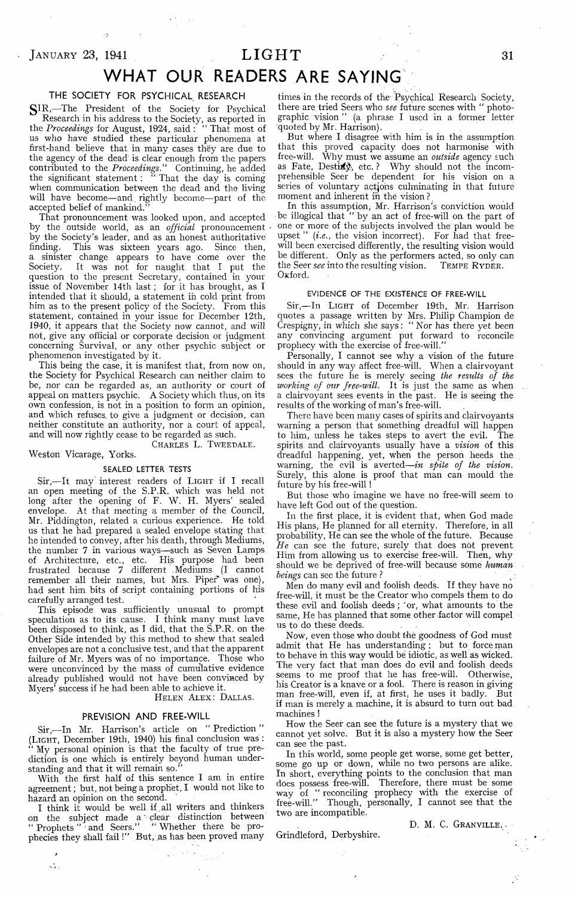## $J$ ANUARY 23, 1941  $LIGHT$  31

## **WHAT OUR READERS ARE SAYING**

#### **THE SOCIETY FOR PSYCHICAL RESEARCH**

SIR,-The President of the Society for Psychical Research in his address to the Society, as reported in the *Proceedings* for August, 1924, said : " That most of us who have studied these particular phenomena at first-hand believe that in many cases théy are due to the agency of the dead is clear enough from the papers contributed to the *Proceedings."* Continuing, he added the significant statement : " That the day is coming when communication between the dead and the living will have become— and. rightly become—part of the accepted belief of mankind.

That pronouncement was looked upon, and accepted by the outside world, as an *official* pronouncement by the Society's leader, and as an honest authoritative finding. This was sixteen years ago. Since then, a sinister change appears to have come over the Society. It was not for naught that I put the question to the present Secretary, contained in your issue of November 14th last; for it has brought, as I intended that it should, a statement in cold print from him as to the present policy of the Society. From this statement, contained in your issue for December 12th, 1940, it appears that the Society now cannot, and will not, give any official or corporate decision or judgment concerning Survival, or any other psychic subject or phenomenon investigated by it.

This being the case, it is manifest that, from now on, the Society for Psychical Research can neither claim to be, nor can be regarded as, an authority or court of appeal on matters psychic. A Society which thus, on its own confession, is not in a position to form an opinion, and which refuses, to give a judgment or decision, can neither constitute an authority, nor a court of appeal, and will now rightly cease to be regarded as such.

Charles L. Tweedale.

#### Weston Vicarage, Yórks.

#### SEALED LETTER. TESTS

Sir,—It may interest readers of LIGHT if I recall an open meeting of the S.P.R. which was held not long after the opening of F. W. H. Myers' sealed envelope. At that meeting a member of the Council, Mr. Piddington, related a curious experience. He told Mr. Piddington, related a curious experience. us that he had prepared a sealed envelope stating that he intended to convey, after his death, through Mediums, the number 7 in various ways— such as Seven Lamps of Architecture, etc., etc. His purpose had been frustrated because 7 different .Mediums (I cannot remember all their names, but Mrs. Piper' was one), had sent him bits of script containing portions of his carefully arranged test.

This episode was sufficiently unusual to prompt speculation as to its cause. I think many must have been disposed to think, as I did, that the S.P.R. on the Other Side intended by this method to shew that sealed envelopes are not a conclusive test, and that the apparent failure of Mr. Myers was of no importance. Those who were unconvinced by the mass of cumulative evidence already published would not have been convinced by Myers' success if he had been able to achieve it.

#### HELEN ALEX: DALLAS.

#### **PREVISION AND FREE-WILL**

Sir,— In Mr. Harrison's article on " Prediction " (LIGHT, December 19th, 1940) his final conclusion was : " My personal opinion is that the faculty of true prediction. is one which is entirely beyond human understanding and that it will remain so."

With the first half of this sentence I am in entire agreement; but, not being a prophet, I would not like to hazard an opinion on the second.

I think it would be well if all writers and thinkers on the subject made a clear distinction between " Prophets " • and Seers." " Whether there be prophecies they shall fail!" But, as has been proved many

 $\mathcal{L}_{\mathcal{A}}^{\mathcal{L}}$  .

times in the records of the Psychical Research Society, there are tried Seers who *see* future scenes with " photographic vision " (a phrase I used in a former letter quoted by Mr. Harrison).

But where I disagree with him is in the assumption that this proved capacity does not harmonise with free-will. Why must we assume an *outside* agency such as Fate, Desti**i**y, etc.? Why should not the incomprehensible Seer be dependent for his vision on a series of voluntary actjons culminating in that future moment and inherent in the vision ?

In this assumption; Mr. Harrison's conviction would be illogical that " by an act of free-will on the part of one or more of the subjects involved the plan would be upset " (i.e., the vision incorrect). For had that freewill been exercised differently, the resulting vision would be different. Only as the performers acted, so only can the Seer *see* into the resulting vision. TEMPE RYDER. the Seer *see* into the resulting vision. Oxford.

#### EVIDENCE OF THE EXISTENCE OF FREE-WILL

Sir,— In Light of December 19th, Mr. Harrison quotes a passage written by Mrs. Philip Champion de Crespigny, in which she says : " Nor has there yet been any convincing argument put forward to reconcile prophecy with the exercise of free-will."

Personally, I cannot see why a vision of the future should in any way affect free-will. When a clairvoyant sees the future he is merely seeing *the results of the working of our free-will.* It is just the same as when a clairvoyant sees events in the past. He is seeing the results of the working of man's free-will.

There have been many cases of spirits and clairvoyants warning a person that something dreadful will happen to him, unless he takes steps to avert the evil. The spirits and clairvoyants usually have a *vision* of this dreadful happening, yet, when the person heeds the warning, the evil is averted—*in spite of the vision.* Surely, this alone is proof that man can mould the future by his free-will !

But those who imagine we have no free-will seem to have left God out of the question.

In the first place, it is evident that, when God made His plans, He planned for all eternity. Therefore, in all probability, He can see the whole of the future. Because *He* can see the future, surely that does not prevent Him from allowing us to exercise free-will. Then, why should we be deprived of free-will because some *human beings* can see the future ? ;

Men do many evil and foolish deeds. If they have no free-will, it must be the Creator who compels them to do these evil and foolish deeds ; 'or, what amounts to the same, He has planned that some other factor will compel us to do these deeds.

Now, even those who doubt the goodness of God must admit that He has understanding; but to force man to behave in this way would be idiotic, as well as wicked. The very fact that man does do evil and foolish deeds seems to me proof that he has free-will. Otherwise, his Creator is a knave or a fool. There is reason in giving man free-will, even if, at first, he uses it badly. But if man is merely a machine, it is absurd to turn out bad machines !

How the Seer can see the future is a mystery that we cannot yet solve. But it is also a mystery how the Seer can see the past.

In this world, some people get worse, some get better, some go up or down, while no two persons are alike. In short, everything points to the conclusion that man does possess free-will. Therefore, there must be some way of " reconciling prophecy with the exercise of free-will." Though, personally, I cannot see that the two are incompatible.

Grindleford, Derbyshire.

D. M. C. GRANVILLE. -